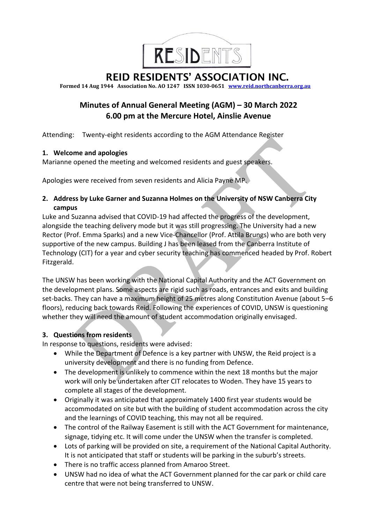

REID RESIDENTS' ASSOCIATION INC.

**Formed 14 Aug 1944 Association No. AO 1247 ISSN 1030-0651 [www.reid.northcanberra.org.au](http://www.reid.northcanberra.org.au/)**

# **Minutes of Annual General Meeting (AGM) – 30 March 2022 6.00 pm at the Mercure Hotel, Ainslie Avenue**

Attending: Twenty-eight residents according to the AGM Attendance Register

## **1. Welcome and apologies**

Marianne opened the meeting and welcomed residents and guest speakers.

Apologies were received from seven residents and Alicia Payne MP.

**2. Address by Luke Garner and Suzanna Holmes on the University of NSW Canberra City campus**

Luke and Suzanna advised that COVID-19 had affected the progress of the development, alongside the teaching delivery mode but it was still progressing. The University had a new Rector (Prof. Emma Sparks) and a new Vice-Chancellor (Prof. Attila Brungs) who are both very supportive of the new campus. Building J has been leased from the Canberra Institute of Technology (CIT) for a year and cyber security teaching has commenced headed by Prof. Robert Fitzgerald.

The UNSW has been working with the National Capital Authority and the ACT Government on the development plans. Some aspects are rigid such as roads, entrances and exits and building set-backs. They can have a maximum height of 25 metres along Constitution Avenue (about 5–6 floors), reducing back towards Reid. Following the experiences of COVID, UNSW is questioning whether they will need the amount of student accommodation originally envisaged.

## **3. Questions from residents**

In response to questions, residents were advised:

- While the Department of Defence is a key partner with UNSW, the Reid project is a university development and there is no funding from Defence.
- The development is unlikely to commence within the next 18 months but the major work will only be undertaken after CIT relocates to Woden. They have 15 years to complete all stages of the development.
- Originally it was anticipated that approximately 1400 first year students would be accommodated on site but with the building of student accommodation across the city and the learnings of COVID teaching, this may not all be required.
- The control of the Railway Easement is still with the ACT Government for maintenance, signage, tidying etc. It will come under the UNSW when the transfer is completed.
- Lots of parking will be provided on site, a requirement of the National Capital Authority. It is not anticipated that staff or students will be parking in the suburb's streets.
- There is no traffic access planned from Amaroo Street.
- UNSW had no idea of what the ACT Government planned for the car park or child care centre that were not being transferred to UNSW.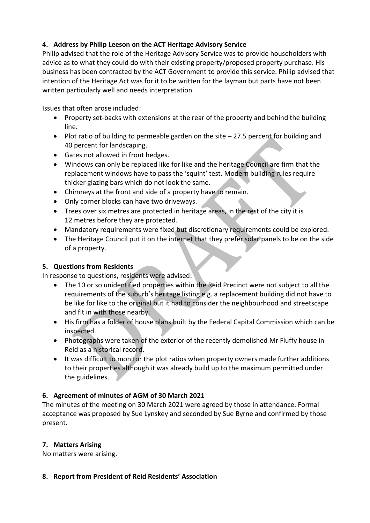## **4. Address by Philip Leeson on the ACT Heritage Advisory Service**

Philip advised that the role of the Heritage Advisory Service was to provide householders with advice as to what they could do with their existing property/proposed property purchase. His business has been contracted by the ACT Government to provide this service. Philip advised that intention of the Heritage Act was for it to be written for the layman but parts have not been written particularly well and needs interpretation.

Issues that often arose included:

- Property set-backs with extensions at the rear of the property and behind the building line.
- Plot ratio of building to permeable garden on the site 27.5 percent for building and 40 percent for landscaping.
- Gates not allowed in front hedges.
- Windows can only be replaced like for like and the heritage Council are firm that the replacement windows have to pass the 'squint' test. Modern building rules require thicker glazing bars which do not look the same.
- Chimneys at the front and side of a property have to remain.
- Only corner blocks can have two driveways.
- Trees over six metres are protected in heritage areas, in the rest of the city it is 12 metres before they are protected.
- Mandatory requirements were fixed but discretionary requirements could be explored.
- The Heritage Council put it on the internet that they prefer solar panels to be on the side of a property.

## **5. Questions from Residents**

In response to questions, residents were advised:

- The 10 or so unidentified properties within the Reid Precinct were not subject to all the requirements of the suburb's heritage listing e.g. a replacement building did not have to be like for like to the original but it had to consider the neighbourhood and streetscape and fit in with those nearby.
- His firm has a folder of house plans built by the Federal Capital Commission which can be inspected.
- Photographs were taken of the exterior of the recently demolished Mr Fluffy house in Reid as a historical record.
- It was difficult to monitor the plot ratios when property owners made further additions to their properties although it was already build up to the maximum permitted under the guidelines.

## **6. Agreement of minutes of AGM of 30 March 2021**

The minutes of the meeting on 30 March 2021 were agreed by those in attendance. Formal acceptance was proposed by Sue Lynskey and seconded by Sue Byrne and confirmed by those present.

## **7. Matters Arising**

No matters were arising.

## **8. Report from President of Reid Residents' Association**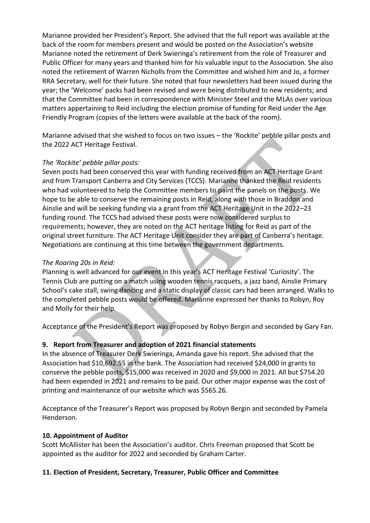Marianne provided her President's Report. She advised that the full report was available at the back of the room for members present and would be posted on the Association's website Marianne noted the retirement of Derk Swieringa's retirement from the role of Treasurer and Public Officer for many years and thanked him for his valuable input to the Association. She also noted the retirement of Warren Nicholls from the Committee and wished him and Jo, a former RRA Secretary, well for their future. She noted that four newsletters had been issued during the year; the 'Welcome' packs had been revised and were being distributed to new residents; and that the Committee had been in correspondence with Minister Steel and the MLAs over various matters appertaining to Reid including the election promise of funding for Reid under the Age Friendly Program (copies of the letters were available at the back of the room).

Marianne advised that she wished to focus on two issues – the 'Rockite' pebble pillar posts and the 2022 ACT Heritage Festival.

## *The 'Rockite' pebble pillar posts:*

Seven posts had been conserved this year with funding received from an ACT Heritage Grant and from Transport Canberra and City Services (TCCS). Marianne thanked the Reid residents who had volunteered to help the Committee members to paint the panels on the posts. We hope to be able to conserve the remaining posts in Reid, along with those in Braddon and Ainslie and will be seeking funding via a grant from the ACT Heritage Unit in the 2022–23 funding round. The TCCS had advised these posts were now considered surplus to requirements; however, they are noted on the ACT heritage listing for Reid as part of the original street furniture. The ACT Heritage Unit consider they are part of Canberra's heritage. Negotiations are continuing at this time between the government departments.

## *The Roaring 20s in Reid:*

Planning is well advanced for our event in this year's ACT Heritage Festival 'Curiosity'. The Tennis Club are putting on a match using wooden tennis racquets, a jazz band, Ainslie Primary School's cake stall, swing dancing and a static display of classic cars had been arranged. Walks to the completed pebble posts would be offered. Marianne expressed her thanks to Robyn, Roy and Molly for their help.

Acceptance of the President's Report was proposed by Robyn Bergin and seconded by Gary Fan.

## **9. Report from Treasurer and adoption of 2021 financial statements**

In the absence of Treasurer Derk Swieringa, Amanda gave his report. She advised that the Association had \$10,692.55 in the bank. The Association had received \$24,000 in grants to conserve the pebble posts, \$15,000 was received in 2020 and \$9,000 in 2021. All but \$754.20 had been expended in 2021 and remains to be paid. Our other major expense was the cost of printing and maintenance of our website which was \$565.26.

Acceptance of the Treasurer's Report was proposed by Robyn Bergin and seconded by Pamela Henderson.

## **10. Appointment of Auditor**

Scott McAllister has been the Association's auditor. Chris Freeman proposed that Scott be appointed as the auditor for 2022 and seconded by Graham Carter.

## **11. Election of President, Secretary, Treasurer, Public Officer and Committee**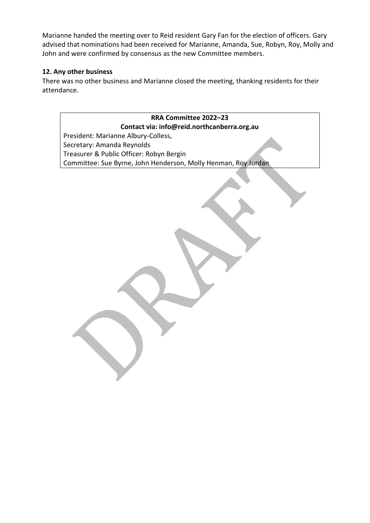Marianne handed the meeting over to Reid resident Gary Fan for the election of officers. Gary advised that nominations had been received for Marianne, Amanda, Sue, Robyn, Roy, Molly and John and were confirmed by consensus as the new Committee members.

## **12. Any other business**

There was no other business and Marianne closed the meeting, thanking residents for their attendance.

**RRA Committee 2022–23 Contact via: info@reid.northcanberra.org.au** President: Marianne Albury-Colless, Secretary: Amanda Reynolds Treasurer & Public Officer: Robyn Bergin Committee: Sue Byrne, John Henderson, Molly Henman, Roy Jordan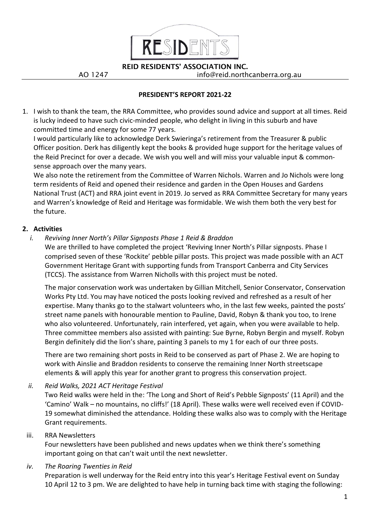

REID RESIDENTS' ASSOCIATION INC. AO 1247 info@reid.northcanberra.org.au

**PRESIDENT'S REPORT 2021-22**

1. I wish to thank the team, the RRA Committee, who provides sound advice and support at all times. Reid is lucky indeed to have such civic-minded people, who delight in living in this suburb and have committed time and energy for some 77 years.

I would particularly like to acknowledge Derk Swieringa's retirement from the Treasurer & public Officer position. Derk has diligently kept the books & provided huge support for the heritage values of the Reid Precinct for over a decade. We wish you well and will miss your valuable input & commonsense approach over the many years.

We also note the retirement from the Committee of Warren Nichols. Warren and Jo Nichols were long term residents of Reid and opened their residence and garden in the Open Houses and Gardens National Trust (ACT) and RRA joint event in 2019. Jo served as RRA Committee Secretary for many years and Warren's knowledge of Reid and Heritage was formidable. We wish them both the very best for the future.

## **2. Activities**

## *i. Reviving Inner North's Pillar Signposts Phase 1 Reid & Braddon*

We are thrilled to have completed the project 'Reviving Inner North's Pillar signposts. Phase I comprised seven of these 'Rockite' pebble pillar posts. This project was made possible with an ACT Government Heritage Grant with supporting funds from Transport Canberra and City Services (TCCS). The assistance from Warren Nicholls with this project must be noted.

The major conservation work was undertaken by Gillian Mitchell, Senior Conservator, Conservation Works Pty Ltd. You may have noticed the posts looking revived and refreshed as a result of her expertise. Many thanks go to the stalwart volunteers who, in the last few weeks, painted the posts' street name panels with honourable mention to Pauline, David, Robyn & thank you too, to Irene who also volunteered. Unfortunately, rain interfered, yet again, when you were available to help. Three committee members also assisted with painting: Sue Byrne, Robyn Bergin and myself. Robyn Bergin definitely did the lion's share, painting 3 panels to my 1 for each of our three posts.

There are two remaining short posts in Reid to be conserved as part of Phase 2. We are hoping to work with Ainslie and Braddon residents to conserve the remaining Inner North streetscape elements & will apply this year for another grant to progress this conservation project.

*ii. Reid Walks, 2021 ACT Heritage Festival*

Two Reid walks were held in the: 'The Long and Short of Reid's Pebble Signposts' (11 April) and the 'Camino' Walk – no mountains, no cliffs!' (18 April). These walks were well received even if COVID-19 somewhat diminished the attendance. Holding these walks also was to comply with the Heritage Grant requirements.

## iii. RRA Newsletters

Four newsletters have been published and news updates when we think there's something important going on that can't wait until the next newsletter.

## *iv. The Roaring Twenties in Reid*

Preparation is well underway for the Reid entry into this year's Heritage Festival event on Sunday 10 April 12 to 3 pm. We are delighted to have help in turning back time with staging the following: